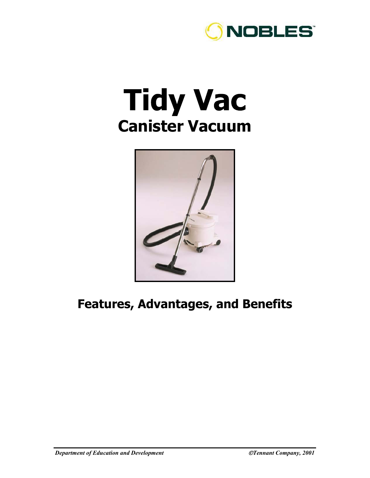

## **Tidy Vac Canister Vacuum**



## **Features, Advantages, and Benefits**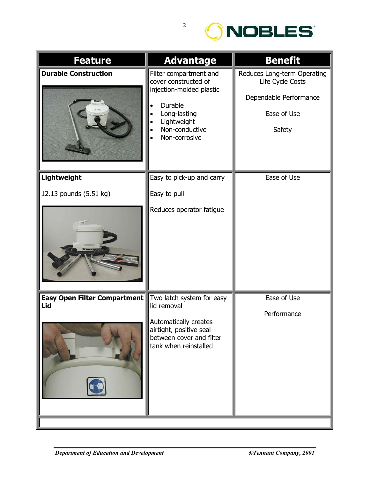

| <b>Feature</b>                             | <b>Advantage</b>                                                                                                                                        | <b>Benefit</b>                                                                                     |
|--------------------------------------------|---------------------------------------------------------------------------------------------------------------------------------------------------------|----------------------------------------------------------------------------------------------------|
| <b>Durable Construction</b>                | Filter compartment and<br>cover constructed of<br>injection-molded plastic<br>Durable<br>Long-lasting<br>Lightweight<br>Non-conductive<br>Non-corrosive | Reduces Long-term Operating<br>Life Cycle Costs<br>Dependable Performance<br>Ease of Use<br>Safety |
| Lightweight                                | Easy to pick-up and carry                                                                                                                               | Ease of Use                                                                                        |
| 12.13 pounds (5.51 kg)                     | Easy to pull<br>Reduces operator fatigue                                                                                                                |                                                                                                    |
| <b>Easy Open Filter Compartment</b><br>Lid | Two latch system for easy<br>lid removal<br>Automatically creates<br>airtight, positive seal<br>between cover and filter<br>tank when reinstalled       | Ease of Use<br>Performance                                                                         |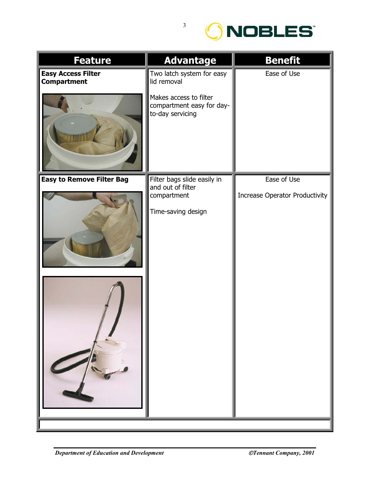

| <b>Feature</b>                                  | <b>Advantage</b>                                                        | <b>Benefit</b>                        |
|-------------------------------------------------|-------------------------------------------------------------------------|---------------------------------------|
| <b>Easy Access Filter</b><br><b>Compartment</b> | Two latch system for easy<br>lid removal                                | Ease of Use                           |
|                                                 | Makes access to filter<br>compartment easy for day-<br>to-day servicing |                                       |
| <b>Easy to Remove Filter Bag</b>                | Filter bags slide easily in<br>and out of filter                        | Ease of Use                           |
|                                                 | compartment                                                             | <b>Increase Operator Productivity</b> |
|                                                 | Time-saving design                                                      |                                       |
|                                                 |                                                                         |                                       |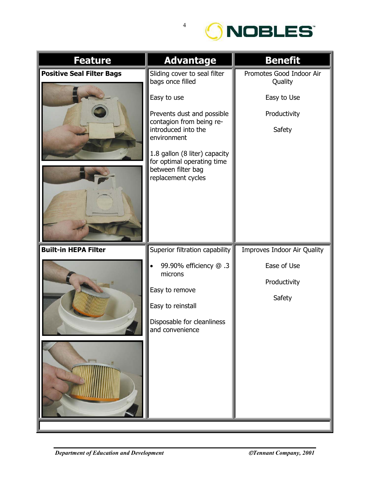

| <b>Feature</b>                   | <b>Advantage</b>                                                                                                                                                                                                                                                           | <b>Benefit</b>                                                               |
|----------------------------------|----------------------------------------------------------------------------------------------------------------------------------------------------------------------------------------------------------------------------------------------------------------------------|------------------------------------------------------------------------------|
| <b>Positive Seal Filter Bags</b> | Sliding cover to seal filter<br>bags once filled<br>Easy to use<br>Prevents dust and possible<br>contagion from being re-<br>introduced into the<br>environment<br>1.8 gallon (8 liter) capacity<br>for optimal operating time<br>between filter bag<br>replacement cycles | Promotes Good Indoor Air<br>Quality<br>Easy to Use<br>Productivity<br>Safety |
| <b>Built-in HEPA Filter</b>      | Superior filtration capability<br>99.90% efficiency @ .3<br>microns<br>Easy to remove<br>Easy to reinstall<br>Disposable for cleanliness<br>and convenience                                                                                                                | Improves Indoor Air Quality<br>Ease of Use<br>Productivity<br>Safety         |

4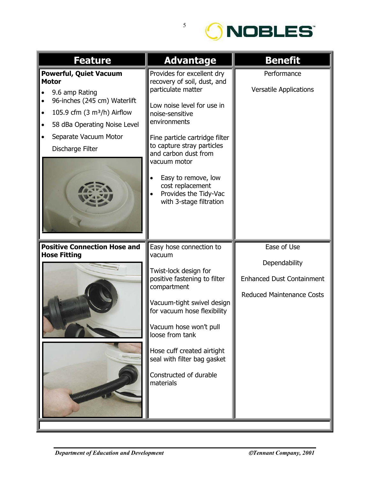

| <b>Feature</b>                                                                                                                                                                                               | <b>Advantage</b>                                                                                                                                                                                                                                                                                                                                        | <b>Benefit</b>                                                                                       |
|--------------------------------------------------------------------------------------------------------------------------------------------------------------------------------------------------------------|---------------------------------------------------------------------------------------------------------------------------------------------------------------------------------------------------------------------------------------------------------------------------------------------------------------------------------------------------------|------------------------------------------------------------------------------------------------------|
| <b>Powerful, Quiet Vacuum</b><br><b>Motor</b><br>9.6 amp Rating<br>96-inches (245 cm) Waterlift<br>105.9 cfm $(3 m3/h)$ Airflow<br>58 dBa Operating Noise Level<br>Separate Vacuum Motor<br>Discharge Filter | Provides for excellent dry<br>recovery of soil, dust, and<br>particulate matter<br>Low noise level for use in<br>noise-sensitive<br>environments<br>Fine particle cartridge filter<br>to capture stray particles<br>and carbon dust from<br>vacuum motor<br>Easy to remove, low<br>cost replacement<br>Provides the Tidy-Vac<br>with 3-stage filtration | Performance<br><b>Versatile Applications</b>                                                         |
| <b>Positive Connection Hose and</b><br><b>Hose Fitting</b>                                                                                                                                                   | Easy hose connection to<br>vacuum<br>Twist-lock design for<br>positive fastening to filter<br>compartment<br>Vacuum-tight swivel design<br>for vacuum hose flexibility<br>Vacuum hose won't pull<br>loose from tank<br>Hose cuff created airtight<br>seal with filter bag gasket<br>Constructed of durable<br>materials                                 | Ease of Use<br>Dependability<br><b>Enhanced Dust Containment</b><br><b>Reduced Maintenance Costs</b> |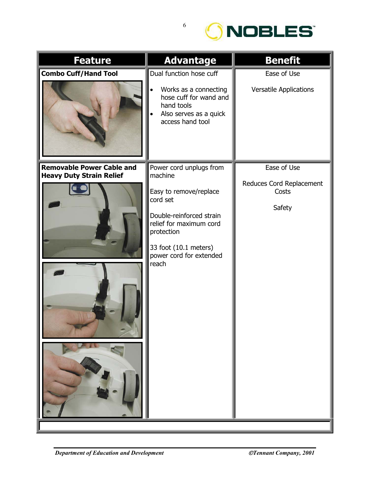

| <b>Feature</b>                   | <b>Advantage</b>                                                                                                                                                                | <b>Benefit</b>                              |
|----------------------------------|---------------------------------------------------------------------------------------------------------------------------------------------------------------------------------|---------------------------------------------|
| <b>Combo Cuff/Hand Tool</b>      | Dual function hose cuff                                                                                                                                                         | Ease of Use                                 |
|                                  | Works as a connecting<br>hose cuff for wand and<br>hand tools<br>Also serves as a quick<br>access hand tool                                                                     | <b>Versatile Applications</b>               |
| <b>Removable Power Cable and</b> | Power cord unplugs from                                                                                                                                                         | Ease of Use                                 |
| <b>Heavy Duty Strain Relief</b>  | machine<br>Easy to remove/replace<br>cord set<br>Double-reinforced strain<br>relief for maximum cord<br>protection<br>33 foot (10.1 meters)<br>power cord for extended<br>reach | Reduces Cord Replacement<br>Costs<br>Safety |
|                                  |                                                                                                                                                                                 |                                             |

6